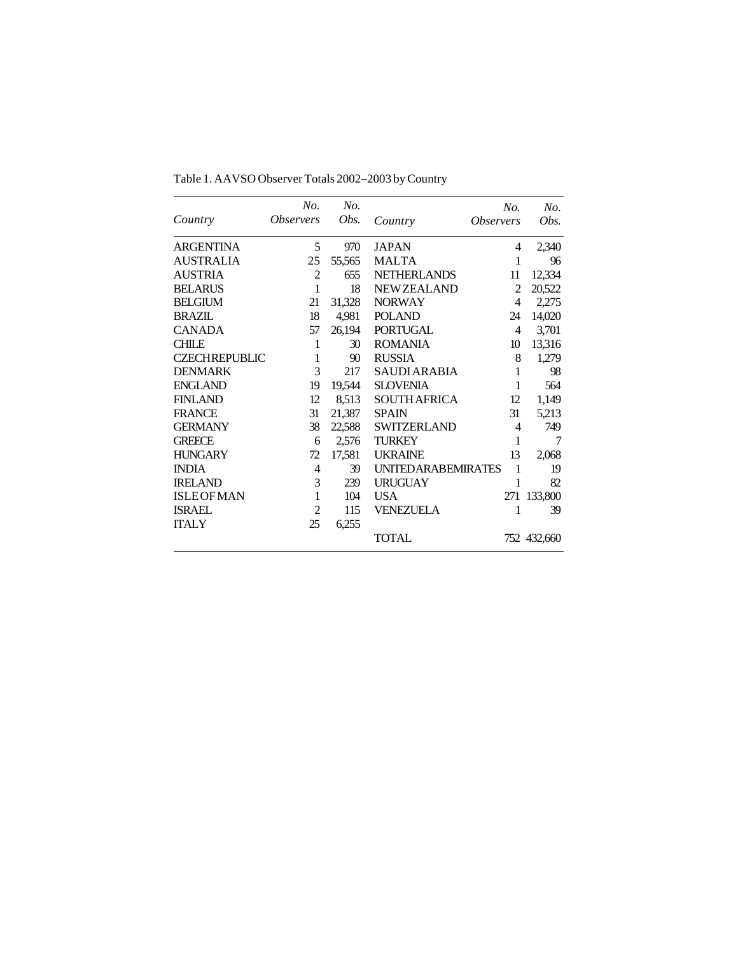|                      | No.                     | No.    |                           | No.                     | No.         |
|----------------------|-------------------------|--------|---------------------------|-------------------------|-------------|
| Country              | <i><b>Observers</b></i> | Obs.   | Country                   | <i><b>Observers</b></i> | Obs.        |
| <b>ARGENTINA</b>     | 5                       | 970    | <b>JAPAN</b>              | 4                       | 2,340       |
| <b>AUSTRALIA</b>     | 25                      | 55,565 | <b>MALTA</b>              | 1                       | 96          |
| <b>AUSTRIA</b>       | $\overline{2}$          | 655    | <b>NETHERLANDS</b>        | 11                      | 12,334      |
| <b>BELARUS</b>       | 1                       | 18     | <b>NEWZEALAND</b>         | 2                       | 20,522      |
| <b>BELGIUM</b>       | 21                      | 31,328 | <b>NORWAY</b>             | 4                       | 2,275       |
| <b>BRAZIL</b>        | 18                      | 4,981  | <b>POLAND</b>             | 24                      | 14,020      |
| <b>CANADA</b>        | 57                      | 26,194 | <b>PORTUGAL</b>           | 4                       | 3,701       |
| <b>CHILE</b>         | 1                       | 30     | <b>ROMANIA</b>            | 10                      | 13,316      |
| <b>CZECHREPUBLIC</b> | 1                       | 90     | <b>RUSSIA</b>             | 8                       | 1,279       |
| <b>DENMARK</b>       | 3                       | 217    | <b>SAUDIARABIA</b>        | 1                       | 98          |
| <b>ENGLAND</b>       | 19                      | 19,544 | <b>SLOVENIA</b>           | 1                       | 564         |
| <b>FINLAND</b>       | 12                      | 8,513  | <b>SOUTH AFRICA</b>       | 12                      | 1,149       |
| <b>FRANCE</b>        | 31                      | 21,387 | <b>SPAIN</b>              | 31                      | 5,213       |
| <b>GERMANY</b>       | 38                      | 22,588 | <b>SWITZERLAND</b>        | 4                       | 749         |
| <b>GREECE</b>        | 6                       | 2,576  | <b>TURKEY</b>             | 1                       | 7           |
| <b>HUNGARY</b>       | 72                      | 17,581 | <b>UKRAINE</b>            | 13                      | 2,068       |
| <b>INDIA</b>         | 4                       | 39     | <b>UNITEDARABEMIRATES</b> | 1                       | 19          |
| <b>IRELAND</b>       | 3                       | 239    | <b>URUGUAY</b>            | 1                       | 82          |
| <b>ISLEOFMAN</b>     | 1                       | 104    | <b>USA</b>                | 271                     | 133,800     |
| <b>ISRAEL</b>        | $\overline{2}$          | 115    | VENEZUELA                 | 1                       | 39          |
| <b>ITALY</b>         | 25                      | 6,255  |                           |                         |             |
|                      |                         |        | <b>TOTAL</b>              |                         | 752 432,660 |

Table 1. AAVSO Observer Totals 2002–2003 by Country